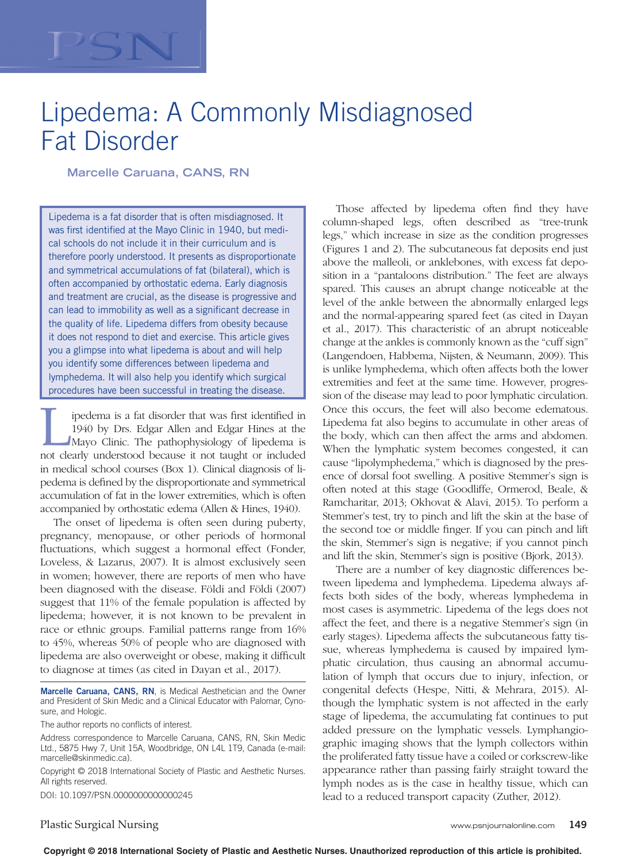# Lipedema: A Commonly Misdiagnosed Fat Disorder

**Marcelle Caruana, CANS, RN**

Lipedema is a fat disorder that is often misdiagnosed. It was first identified at the Mayo Clinic in 1940, but medical schools do not include it in their curriculum and is therefore poorly understood. It presents as disproportionate and symmetrical accumulations of fat (bilateral), which is often accompanied by orthostatic edema. Early diagnosis and treatment are crucial, as the disease is progressive and can lead to immobility as well as a significant decrease in the quality of life. Lipedema differs from obesity because it does not respond to diet and exercise. This article gives you a glimpse into what lipedema is about and will help you identify some differences between lipedema and lymphedema. It will also help you identify which surgical procedures have been successful in treating the disease.

Ipedema is a fat disorder that was first identified in 1940 by Drs. Edgar Allen and Edgar Hines at the Mayo Clinic. The pathophysiology of lipedema is not clearly understood because it not taught or included 1940 by Drs. Edgar Allen and Edgar Hines at the Mayo Clinic. The pathophysiology of lipedema is in medical school courses (Box 1). Clinical diagnosis of lipedema is defined by the disproportionate and symmetrical accumulation of fat in the lower extremities, which is often accompanied by orthostatic edema (Allen & Hines, 1940).

The onset of lipedema is often seen during puberty, pregnancy, menopause, or other periods of hormonal fluctuations, which suggest a hormonal effect (Fonder, Loveless, & Lazarus, 2007). It is almost exclusively seen in women; however, there are reports of men who have been diagnosed with the disease. Földi and Földi (2007) suggest that 11% of the female population is affected by lipedema; however, it is not known to be prevalent in race or ethnic groups. Familial patterns range from 16% to 45%, whereas 50% of people who are diagnosed with lipedema are also overweight or obese, making it difficult to diagnose at times (as cited in Dayan et al., 2017).

**Marcelle Caruana, CANS, RN**, is Medical Aesthetician and the Owner and President of Skin Medic and a Clinical Educator with Palomar, Cynosure, and Hologic.

The author reports no conflicts of interest.

Address correspondence to Marcelle Caruana, CANS, RN, Skin Medic Ltd., 5875 Hwy 7, Unit 15A, Woodbridge, ON L4L 1T9, Canada (e-mail: marcelle@skinmedic.ca).

Copyright © 2018 International Society of Plastic and Aesthetic Nurses. All rights reserved.

DOI: 10.1097/PSN.0000000000000245

Those affected by lipedema often find they have column-shaped legs, often described as "tree-trunk legs," which increase in size as the condition progresses (Figures 1 and 2). The subcutaneous fat deposits end just above the malleoli, or anklebones, with excess fat deposition in a "pantaloons distribution." The feet are always spared. This causes an abrupt change noticeable at the level of the ankle between the abnormally enlarged legs and the normal-appearing spared feet (as cited in Dayan et al., 2017). This characteristic of an abrupt noticeable change at the ankles is commonly known as the "cuff sign" (Langendoen, Habbema, Nijsten, & Neumann, 2009). This is unlike lymphedema, which often affects both the lower extremities and feet at the same time. However, progression of the disease may lead to poor lymphatic circulation. Once this occurs, the feet will also become edematous. Lipedema fat also begins to accumulate in other areas of the body, which can then affect the arms and abdomen. When the lymphatic system becomes congested, it can cause "lipolymphedema," which is diagnosed by the presence of dorsal foot swelling. A positive Stemmer's sign is often noted at this stage (Goodliffe, Ormerod, Beale, & Ramcharitar, 2013; Okhovat & Alavi, 2015). To perform a Stemmer's test, try to pinch and lift the skin at the base of the second toe or middle finger. If you can pinch and lift the skin, Stemmer's sign is negative; if you cannot pinch and lift the skin, Stemmer's sign is positive (Bjork, 2013).

There are a number of key diagnostic differences between lipedema and lymphedema. Lipedema always affects both sides of the body, whereas lymphedema in most cases is asymmetric. Lipedema of the legs does not affect the feet, and there is a negative Stemmer's sign (in early stages). Lipedema affects the subcutaneous fatty tissue, whereas lymphedema is caused by impaired lymphatic circulation, thus causing an abnormal accumulation of lymph that occurs due to injury, infection, or congenital defects (Hespe, Nitti, & Mehrara, 2015). Although the lymphatic system is not affected in the early stage of lipedema, the accumulating fat continues to put added pressure on the lymphatic vessels. Lymphangiographic imaging shows that the lymph collectors within the proliferated fatty tissue have a coiled or corkscrew-like appearance rather than passing fairly straight toward the lymph nodes as is the case in healthy tissue, which can lead to a reduced transport capacity (Zuther, 2012).

Plastic Surgical Nursing www.psnjournalonline.com **149**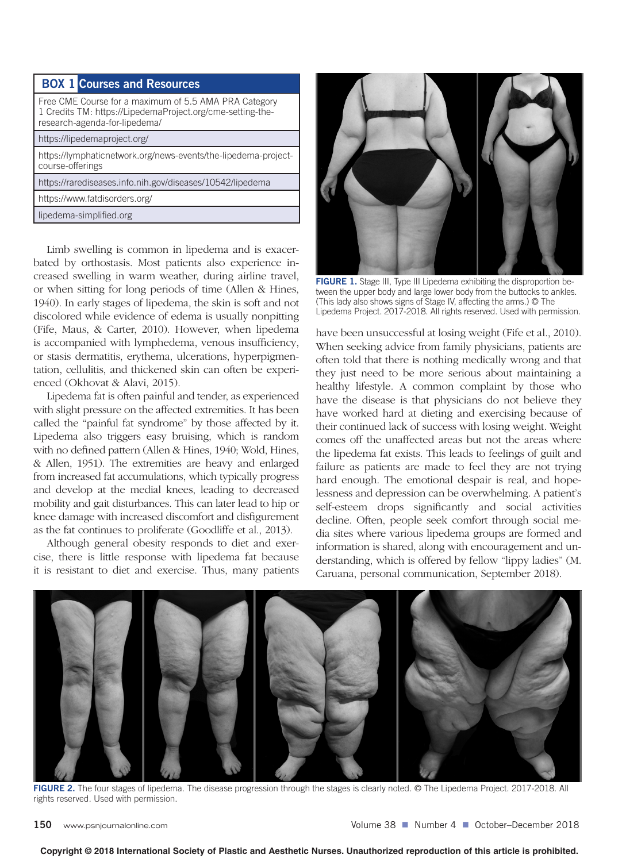# **BOX 1 Courses and Resources**

| Free CME Course for a maximum of 5.5 AMA PRA Category<br>1 Credits TM: https://LipedemaProject.org/cme-setting-the-<br>research-agenda-for-lipedema/ |
|------------------------------------------------------------------------------------------------------------------------------------------------------|
| https://lipedemaproject.org/                                                                                                                         |
| https://lymphaticnetwork.org/news-events/the-lipedema-project-<br>course-offerings                                                                   |
| https://rarediseases.info.nih.gov/diseases/10542/lipedema                                                                                            |
| https://www.fatdisorders.org/                                                                                                                        |
| lipedema-simplified.org                                                                                                                              |

Limb swelling is common in lipedema and is exacerbated by orthostasis. Most patients also experience increased swelling in warm weather, during airline travel, or when sitting for long periods of time (Allen & Hines, 1940). In early stages of lipedema, the skin is soft and not discolored while evidence of edema is usually nonpitting (Fife, Maus, & Carter, 2010). However, when lipedema is accompanied with lymphedema, venous insufficiency, or stasis dermatitis, erythema, ulcerations, hyperpigmentation, cellulitis, and thickened skin can often be experienced (Okhovat & Alavi, 2015).

Lipedema fat is often painful and tender, as experienced with slight pressure on the affected extremities. It has been called the "painful fat syndrome" by those affected by it. Lipedema also triggers easy bruising, which is random with no defined pattern (Allen & Hines, 1940; Wold, Hines, & Allen, 1951). The extremities are heavy and enlarged from increased fat accumulations, which typically progress and develop at the medial knees, leading to decreased mobility and gait disturbances. This can later lead to hip or knee damage with increased discomfort and disfigurement as the fat continues to proliferate (Goodliffe et al., 2013).

Although general obesity responds to diet and exercise, there is little response with lipedema fat because it is resistant to diet and exercise. Thus, many patients



**FIGURE 1.** Stage III, Type III Lipedema exhibiting the disproportion between the upper body and large lower body from the buttocks to ankles. (This lady also shows signs of Stage IV, affecting the arms.) © The Lipedema Project. 2017-2018. All rights reserved. Used with permission.

have been unsuccessful at losing weight (Fife et al., 2010). When seeking advice from family physicians, patients are often told that there is nothing medically wrong and that they just need to be more serious about maintaining a healthy lifestyle. A common complaint by those who have the disease is that physicians do not believe they have worked hard at dieting and exercising because of their continued lack of success with losing weight. Weight comes off the unaffected areas but not the areas where the lipedema fat exists. This leads to feelings of guilt and failure as patients are made to feel they are not trying hard enough. The emotional despair is real, and hopelessness and depression can be overwhelming. A patient's self-esteem drops significantly and social activities decline. Often, people seek comfort through social media sites where various lipedema groups are formed and information is shared, along with encouragement and understanding, which is offered by fellow "lippy ladies" (M. Caruana, personal communication, September 2018).



**FIGURE 2.** The four stages of lipedema. The disease progression through the stages is clearly noted. © The Lipedema Project. 2017-2018. All rights reserved. Used with permission.

**Copyright © 2018 International Society of Plastic and Aesthetic Nurses. Unauthorized reproduction of this article is prohibited.**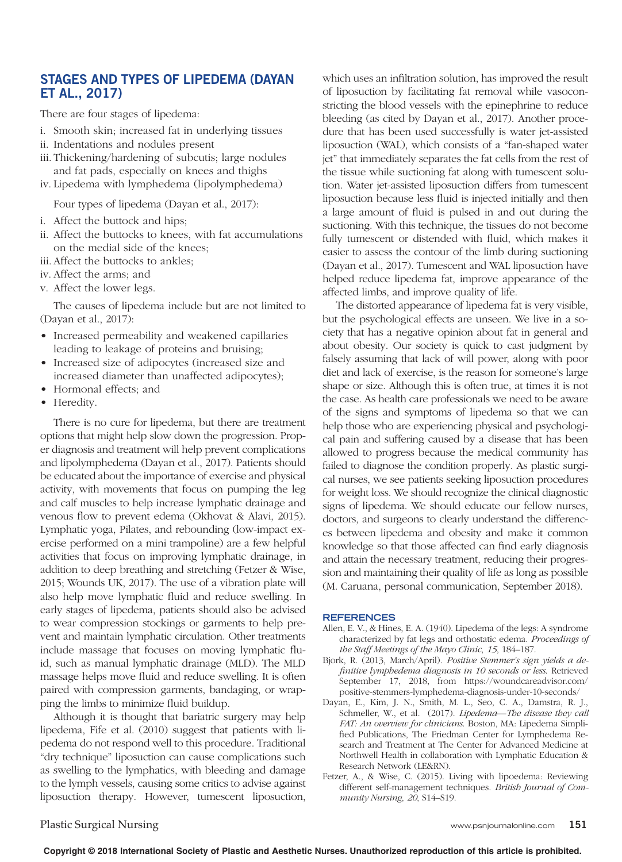## **STAGES AND TYPES OF LIPEDEMA (DAYAN ET AL., 2017)**

There are four stages of lipedema:

- i. Smooth skin; increased fat in underlying tissues
- ii. Indentations and nodules present
- iii. Thickening/hardening of subcutis; large nodules and fat pads, especially on knees and thighs
- iv. Lipedema with lymphedema (lipolymphedema)

Four types of lipedema (Dayan et al., 2017):

- i. Affect the buttock and hips;
- ii. Affect the buttocks to knees, with fat accumulations on the medial side of the knees;
- iii. Affect the buttocks to ankles;
- iv. Affect the arms; and
- v. Affect the lower legs.

The causes of lipedema include but are not limited to (Dayan et al., 2017):

- Increased permeability and weakened capillaries leading to leakage of proteins and bruising;
- Increased size of adipocytes (increased size and increased diameter than unaffected adipocytes);
- • Hormonal effects; and
- Heredity.

There is no cure for lipedema, but there are treatment options that might help slow down the progression. Proper diagnosis and treatment will help prevent complications and lipolymphedema (Dayan et al., 2017). Patients should be educated about the importance of exercise and physical activity, with movements that focus on pumping the leg and calf muscles to help increase lymphatic drainage and venous flow to prevent edema (Okhovat & Alavi, 2015). Lymphatic yoga, Pilates, and rebounding (low-impact exercise performed on a mini trampoline) are a few helpful activities that focus on improving lymphatic drainage, in addition to deep breathing and stretching (Fetzer & Wise, 2015; Wounds UK, 2017). The use of a vibration plate will also help move lymphatic fluid and reduce swelling. In early stages of lipedema, patients should also be advised to wear compression stockings or garments to help prevent and maintain lymphatic circulation. Other treatments include massage that focuses on moving lymphatic fluid, such as manual lymphatic drainage (MLD). The MLD massage helps move fluid and reduce swelling. It is often paired with compression garments, bandaging, or wrapping the limbs to minimize fluid buildup.

Although it is thought that bariatric surgery may help lipedema, Fife et al. (2010) suggest that patients with lipedema do not respond well to this procedure. Traditional "dry technique" liposuction can cause complications such as swelling to the lymphatics, with bleeding and damage to the lymph vessels, causing some critics to advise against liposuction therapy. However, tumescent liposuction,

which uses an infiltration solution, has improved the result of liposuction by facilitating fat removal while vasoconstricting the blood vessels with the epinephrine to reduce bleeding (as cited by Dayan et al., 2017). Another procedure that has been used successfully is water jet-assisted liposuction (WAL), which consists of a "fan-shaped water jet" that immediately separates the fat cells from the rest of the tissue while suctioning fat along with tumescent solution. Water jet-assisted liposuction differs from tumescent liposuction because less fluid is injected initially and then a large amount of fluid is pulsed in and out during the suctioning. With this technique, the tissues do not become fully tumescent or distended with fluid, which makes it easier to assess the contour of the limb during suctioning (Dayan et al., 2017). Tumescent and WAL liposuction have helped reduce lipedema fat, improve appearance of the affected limbs, and improve quality of life.

The distorted appearance of lipedema fat is very visible, but the psychological effects are unseen. We live in a society that has a negative opinion about fat in general and about obesity. Our society is quick to cast judgment by falsely assuming that lack of will power, along with poor diet and lack of exercise, is the reason for someone's large shape or size. Although this is often true, at times it is not the case. As health care professionals we need to be aware of the signs and symptoms of lipedema so that we can help those who are experiencing physical and psychological pain and suffering caused by a disease that has been allowed to progress because the medical community has failed to diagnose the condition properly. As plastic surgical nurses, we see patients seeking liposuction procedures for weight loss. We should recognize the clinical diagnostic signs of lipedema. We should educate our fellow nurses, doctors, and surgeons to clearly understand the differences between lipedema and obesity and make it common knowledge so that those affected can find early diagnosis and attain the necessary treatment, reducing their progression and maintaining their quality of life as long as possible (M. Caruana, personal communication, September 2018).

### **REFERENCES**

- Allen, E. V., & Hines, E. A. (1940). Lipedema of the legs: A syndrome characterized by fat legs and orthostatic edema. *Proceedings of the Staff Meetings of the Mayo Clinic*, *15*, 184–187.
- Bjork, R. (2013, March/April). *Positive Stemmer's sign yields a definitive lymphedema diagnosis in 10 seconds or less*. Retrieved [September 17, 2018, from https://woundcareadvisor.com/](https://woundcareadvisor.com/positive-stemmers-lymphedema-diagnosis-under-10-seconds/) positive-stemmers-lymphedema-diagnosis-under-10-seconds/
- Dayan, E., Kim, J. N., Smith, M. L., Seo, C. A., Damstra, R. J., Schmeller, W., et al. (2017). *Lipedema—The disease they call FAT: An overview for clinicians*. Boston, MA: Lipedema Simplified Publications, The Friedman Center for Lymphedema Research and Treatment at The Center for Advanced Medicine at Northwell Health in collaboration with Lymphatic Education & Research Network (LE&RN).
- Fetzer, A., & Wise, C. (2015). Living with lipoedema: Reviewing different self-management techniques. *British Journal of Community Nursing*, *20*, S14–S19.

Plastic Surgical Nursing www.psnjournalonline.com **151**